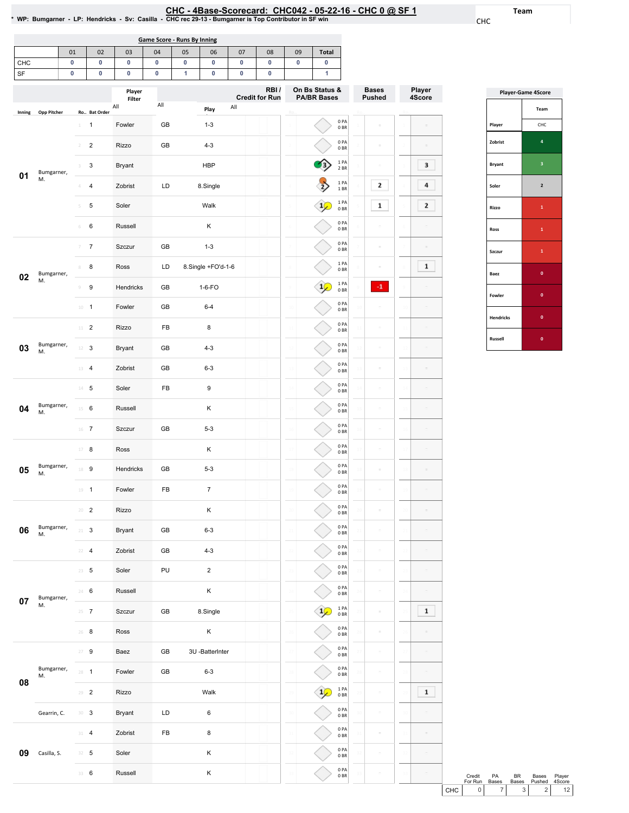Team

CHC

|        | Game Score - Runs By Inning |    |    |    |    |    |    |    |    |              |  |  |  |  |
|--------|-----------------------------|----|----|----|----|----|----|----|----|--------------|--|--|--|--|
|        | 01                          | 02 | 03 | 04 | 05 | 06 | 07 | 08 | 09 | <b>Total</b> |  |  |  |  |
| CHC    |                             |    |    |    |    |    |    |    |    |              |  |  |  |  |
| $\sim$ |                             |    |    |    |    |    |    |    |    |              |  |  |  |  |

| SF     |                    | 0                | 0                | 0                       | 0   | 1 | 0                  | 0   | 0                             |                 | 1                                    |                            |                               |     |                  |
|--------|--------------------|------------------|------------------|-------------------------|-----|---|--------------------|-----|-------------------------------|-----------------|--------------------------------------|----------------------------|-------------------------------|-----|------------------|
|        |                    |                  |                  | Player<br>Filter<br>All | All |   |                    | All | RBI/<br><b>Credit for Run</b> |                 | On Bs Status &<br><b>PA/BR Bases</b> |                            | <b>Bases</b><br><b>Pushed</b> |     | Player<br>4Score |
| Inning | <b>Opp Pitcher</b> |                  | Ro Bat Order     |                         |     |   | Play               |     |                               | Ro              |                                      |                            |                               |     |                  |
|        |                    | 1                | $\mathbf{1}$     | Fowler                  | GB  |   | $1 - 3$            |     |                               |                 |                                      | 0PA<br>0BR                 | ċ                             |     |                  |
|        |                    | 2                | $\sqrt{2}$       | Rizzo                   | GB  |   | $4 - 3$            |     |                               |                 |                                      | 0PA<br>0B                  | ċ                             |     |                  |
| 01     | Bumgarner,         | 3                | 3                | Bryant                  |     |   | <b>HBP</b>         |     |                               |                 |                                      | 1 PA<br>2 BR               | ċ                             |     | з                |
|        | M.                 | Δ                | $\overline{4}$   | Zobrist                 | LD  |   | 8.Single           |     |                               |                 |                                      | 1PA<br>$1\;\mathrm{BR}$    | 2                             |     | 4                |
|        |                    | 5                | 5                | Soler                   |     |   | Walk               |     |                               |                 |                                      | 1PA<br>0BR                 | $\mathbf 1$                   |     | 2                |
|        |                    | 6                | 6                | Russell                 |     |   | Κ                  |     |                               | 6               |                                      | 0PA<br>0BR                 |                               |     |                  |
|        |                    | 7                | $\overline{7}$   | Szczur                  | GB  |   | $1 - 3$            |     |                               |                 |                                      | 0PA<br>0BR                 | ċ                             |     |                  |
| 02     | Bumgarner,         | 8                | 8                | Ross                    | LD  |   | 8.Single +FO'd-1-6 |     |                               | 8               |                                      | 1PA<br>0BR                 | ÷                             |     | $\mathbf 1$      |
|        | M.                 | 9                | $\boldsymbol{9}$ | Hendricks               | GB  |   | $1-6-FO$           |     |                               | 9               |                                      | $1$ PA<br>0BR              | $\cdot 1$                     |     |                  |
|        |                    | $10\,$           | $\mathbf{1}$     | Fowler                  | GB  |   | $6 - 4$            |     |                               | 10              |                                      | 0PA<br>0BR                 | ë                             |     |                  |
|        |                    | $11$ – $2$       |                  | <b>Rizzo</b>            | FB  |   | 8                  |     |                               | $11$            |                                      | 0PA<br>0B                  | $\equiv$                      |     | ċ                |
| 03     | Bumgarner,<br>M.   | 12               | 3                | Bryant                  | GB  |   | $4 - 3$            |     |                               | 12              |                                      | 0PA<br>0BR                 | $\bar{a}$                     |     |                  |
|        |                    | 13               | $\overline{4}$   | Zobrist                 | GB  |   | $6 - 3$            |     |                               | 13              |                                      | 0PA<br>0BR                 | ċ                             |     |                  |
|        |                    | $14$ – ${\bf 5}$ |                  | Soler                   | FB  |   | 9                  |     |                               | 14              |                                      | 0PA<br>0BR                 | ċ                             |     |                  |
| 04     | Bumgarner,<br>M.   | $15 \t 6$        |                  | Russell                 |     |   | Κ                  |     |                               | 15              |                                      | 0PA<br>0BR                 | $\sim$                        |     |                  |
|        |                    | $16$ 7           |                  | Szczur                  | GB  |   | $5 - 3$            |     |                               | 16              |                                      | 0PA<br>0BR                 | ċ                             |     |                  |
|        |                    | 17               | 8                | Ross                    |     |   | Κ                  |     |                               | 17              |                                      | 0PA<br>0B                  | ö                             |     |                  |
| 05     | Bumgarner,<br>M.   | 18 9             |                  | Hendricks               | GB  |   | $5 - 3$            |     |                               | 18              |                                      | 0PA<br>0B                  | $\bar{a}$                     | 15  |                  |
|        |                    | 19               | $\mathbf{1}$     | Fowler                  | FB  |   | $\overline{7}$     |     |                               | 19              |                                      | 0 PA<br>0BR                | ċ                             |     |                  |
|        |                    | $20 - 2$         |                  | Rizzo                   |     |   | Κ                  |     |                               | 20              |                                      | 0PA<br>0BR                 | ö                             |     |                  |
| 06     | Bumgarner,<br>М.   | $21 -$           | 3                | Bryant                  | GB  |   | $6 - 3$            |     |                               |                 |                                      | 0PA<br>0 BK                |                               |     |                  |
|        |                    | $22 - 4$         |                  | Zobrist                 | GB  |   | $4 - 3$            |     |                               | $\overline{22}$ |                                      | 0PA<br>0BR                 | $\equiv$                      |     |                  |
|        |                    | $23 \t 5$        |                  | Soler                   | PU  |   | $\overline{2}$     |     |                               | 23              |                                      | $0$ PA<br>$0\;\mathrm{BR}$ | $\equiv$                      | 23  | $\equiv$         |
| 07     | Bumgarner,         | 24 6             |                  | Russell                 |     |   | Κ                  |     |                               | 24              |                                      | 0PA<br>0B                  | $\equiv$                      |     |                  |
|        | М.                 | $25 - 7$         |                  | Szczur                  | GB  |   | 8.Single           |     |                               | 25              |                                      | 1 PA<br>0BR                | $\equiv$                      |     | $\mathbf{1}$     |
|        |                    | $26$ 8           |                  | Ross                    |     |   | Κ                  |     |                               | 26              |                                      | 0PA<br>0B                  | $\equiv$                      | 26  |                  |
|        |                    | $27 - 9$         |                  | Baez                    | GB  |   | 3U-BatterInter     |     |                               | 27              |                                      | 0PA<br>0B                  | $\equiv$                      |     |                  |
| 08     | Bumgarner,<br>М.   | $28 - 1$         |                  | Fowler                  | GB  |   | $6 - 3$            |     |                               | 28              |                                      | 0PA<br>0B                  | $\equiv$                      | -28 |                  |
|        |                    | $29 - 2$         |                  | Rizzo                   |     |   | Walk               |     |                               | 29              |                                      | 1PA<br>0B                  | $\equiv$                      |     | $\mathbf{1}$     |
|        | Gearrin, C.        | 30 <sup>3</sup>  |                  | Bryant                  | LD  |   | 6                  |     |                               | 30              |                                      | 0PA<br>0BR                 | $\equiv$                      | 30  |                  |
|        |                    | $31 - 4$         |                  | Zobrist                 | FB  |   | 8                  |     |                               | 31              |                                      | 0PA<br>0B                  | $\bar{a}$                     | 31  |                  |
| 09     | Casilla, S.        | $32 - 5$         |                  | Soler                   |     |   | Κ                  |     |                               | 32              |                                      | 0PA<br>$0\;\mathrm{BR}$    | $\bar{a}$                     |     |                  |
|        |                    | 33 6             |                  | Russell                 |     |   | Κ                  |     |                               | 33              |                                      | 0PA<br>$0\;\mathrm{BR}$    | $\bar{a}$                     |     | $\equiv$         |
|        |                    |                  |                  |                         |     |   |                    |     |                               |                 |                                      |                            |                               |     |                  |

| <b>Player-Game 4Score</b> |                |  |  |  |  |  |  |  |
|---------------------------|----------------|--|--|--|--|--|--|--|
|                           | Team           |  |  |  |  |  |  |  |
| Player                    | CHC            |  |  |  |  |  |  |  |
| Zobrist                   | 4              |  |  |  |  |  |  |  |
| <b>Bryant</b>             | 3              |  |  |  |  |  |  |  |
| Soler                     | $\overline{2}$ |  |  |  |  |  |  |  |
| Rizzo                     | $\mathbf{1}$   |  |  |  |  |  |  |  |
| Ross                      | $\mathbf{1}$   |  |  |  |  |  |  |  |
| Szczur                    | $\mathbf{1}$   |  |  |  |  |  |  |  |
| Baez                      | $\mathbf 0$    |  |  |  |  |  |  |  |
| Fowler                    | $\mathbf 0$    |  |  |  |  |  |  |  |
| <b>Hendricks</b>          | $\mathbf{0}$   |  |  |  |  |  |  |  |
| Russell                   | $\bf{0}$       |  |  |  |  |  |  |  |

|       | Credit  | PА           | <b>BR</b>    | <b>Bases</b>   | Player          |
|-------|---------|--------------|--------------|----------------|-----------------|
|       | For Run | <b>Bases</b> | <b>Bases</b> | Pushed         | 4Score          |
| снс I | 0 I     |              | 3 I          | 2 <sub>1</sub> | 12 <sub>1</sub> |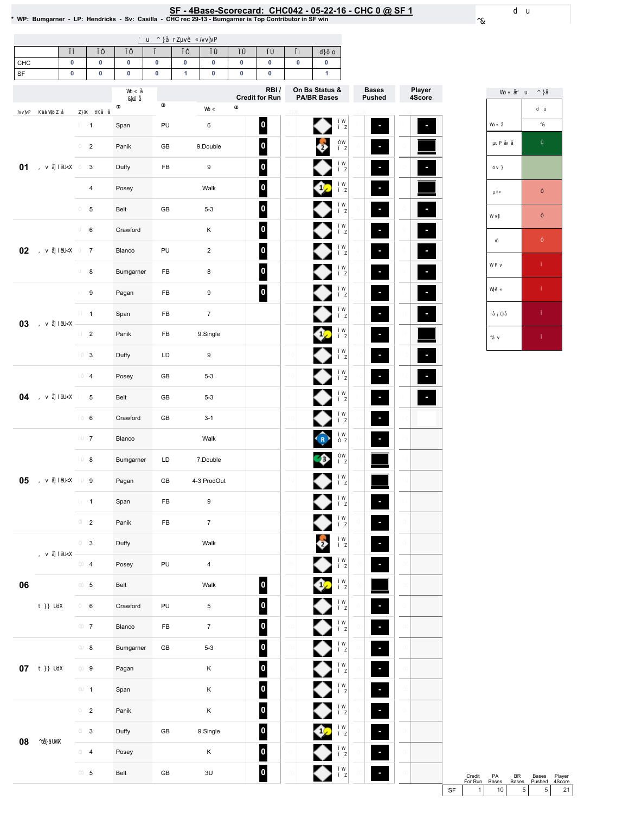# SF - 4Base-Scorecard: CHC042 - 05-22-16 - CHC 0 @ SF 1 & \* wP: Bumgarner - LP: Hendricks - Sv: Casilla<br>• WP: Bumgarner - LP: Hendricks - Sv: Casilla - CHC rec 29-13 - Bumgarner is Top Contributor in SF win

| CHC<br>$\ensuremath{\mathsf{SF}}\xspace$ | $\pmb{0}$<br>$\pmb{0}$ |                           | $\pmb{0}$<br>$\pmb{0}$ | $\pmb{0}$<br>$\pmb{0}$ | $\pmb{0}$<br>$\pmb{0}$ | $\pmb{0}$<br>$\mathbf{1}$ | $\pmb{0}$<br>$\pmb{0}$  | $\pmb{0}$<br>$\pmb{0}$ | $\pmb{0}$<br>$\pmb{0}$   | $\pmb{0}$ | $\pmb{0}$<br>$\mathbf{1}$ |                          |                          |
|------------------------------------------|------------------------|---------------------------|------------------------|------------------------|------------------------|---------------------------|-------------------------|------------------------|--------------------------|-----------|---------------------------|--------------------------|--------------------------|
|                                          |                        |                           |                        |                        |                        |                           |                         |                        | RBI/                     |           | On Bs Status &            | <b>Bases</b>             | Player                   |
|                                          |                        |                           |                        |                        |                        |                           |                         |                        | <b>Credit for Run</b>    |           | <b>PA/BR Bases</b>        | <b>Pushed</b>            | 4Score                   |
|                                          |                        | $\mathbf{1}$              |                        | Span                   | PU                     |                           | 6                       |                        | $\overline{\mathbf{0}}$  |           | ●                         | F                        |                          |
|                                          |                        | $\overline{2}$            |                        | Panik                  | GB                     |                           | 9.Double                |                        | $\vert$ o $\vert$        |           | ê                         | ×,                       |                          |
| 01                                       |                        | $\mathbf{3}$              |                        | Duffy                  | ${\sf FB}$             |                           | 9                       |                        | $\overline{\phantom{a}}$ |           |                           | J,                       | $\overline{\phantom{a}}$ |
|                                          |                        | $\overline{4}$            |                        | Posey                  |                        |                           | Walk                    |                        | $\overline{\mathbf{0}}$  |           |                           | ٠                        |                          |
|                                          |                        | $\,$ 5 $\,$               |                        | Belt                   | GB                     |                           | $5 - 3$                 |                        | $\overline{\mathbf{0}}$  |           |                           | J,                       |                          |
|                                          |                        | 6                         |                        | Crawford               |                        |                           | K                       |                        | 0                        |           |                           | ٠                        | ×,                       |
| 02                                       |                        | $\overline{7}$            |                        | Blanco                 | PU                     |                           | $\overline{c}$          |                        | $\vert$ 0                |           |                           | ×,                       | ×                        |
|                                          |                        | 8                         |                        | Bumgarner              | ${\sf FB}$             |                           | 8                       |                        | $\overline{\mathbf{0}}$  |           |                           | l,                       | ٠                        |
|                                          |                        | 9                         |                        | Pagan                  | FB                     |                           | 9                       |                        | $\boxed{\circ}$          |           |                           | ×                        | ×,                       |
|                                          |                        | $\mathbf{1}$              |                        | Span                   | FB                     |                           | $\overline{7}$          |                        |                          |           |                           | P.                       |                          |
| 03                                       |                        | $\overline{2}$            |                        | Panik                  | FB                     |                           | 9.Single                |                        |                          |           | 6,                        | ٠                        |                          |
|                                          |                        | $\ensuremath{\mathsf{3}}$ |                        | Duffy                  | LD                     |                           | 9                       |                        |                          |           |                           | $\blacksquare$           | P.                       |
|                                          |                        | $\overline{4}$            |                        | Posey                  | GB                     |                           | $5-3$                   |                        |                          |           |                           | ٠                        | P.                       |
| 04                                       |                        | $\,$ 5 $\,$               |                        | Belt                   | GB                     |                           | $5 - 3$                 |                        |                          |           |                           | ٠                        | P.                       |
|                                          |                        | 6                         |                        | Crawford               | GB                     |                           | $3 - 1$                 |                        |                          |           |                           | J,                       |                          |
|                                          |                        | $\overline{7}$            |                        | Blanco                 |                        |                           | Walk                    |                        |                          |           | (R)                       | Ξ                        |                          |
|                                          |                        | 8                         |                        | Bumgarner              | LD                     |                           | 7.Double                |                        |                          |           |                           |                          |                          |
| 05                                       |                        | 9                         |                        | Pagan                  | GB                     |                           | 4-3 ProdOut             |                        |                          |           |                           |                          |                          |
|                                          |                        | $\mathbf{1}$              |                        | Span                   | FB                     |                           | 9                       |                        |                          |           |                           | J,                       |                          |
|                                          |                        | $\overline{2}$            |                        | Panik                  | FB                     |                           | $\overline{7}$          |                        |                          |           |                           | $\overline{\phantom{a}}$ |                          |
|                                          |                        | $\ensuremath{\mathsf{3}}$ |                        | Duffy                  |                        |                           | Walk                    |                        |                          |           | $\ddot{\bm{v}}$           | $\overline{\phantom{a}}$ |                          |
|                                          |                        | $\overline{4}$            |                        | Posey                  | PU                     |                           | $\overline{\mathbf{4}}$ |                        |                          |           |                           | ×,                       |                          |
| 06                                       |                        | $\,$ 5 $\,$               |                        | Belt                   |                        |                           | Walk                    |                        | $\boldsymbol{0}$         |           |                           |                          |                          |
|                                          |                        | 6                         |                        | Crawford               | PU                     |                           | 5                       |                        | $\overline{\phantom{a}}$ |           |                           | F                        |                          |
|                                          |                        | $\overline{7}$            |                        | Blanco                 | ${\sf FB}$             |                           | $7^{\circ}$             |                        | $\vert$ 0                |           |                           | F                        |                          |
|                                          |                        | 8                         |                        | Bumgarner              | GB                     |                           | $5 - 3$                 |                        | $\overline{\mathbf{0}}$  |           |                           | F                        |                          |
| $07\,$                                   |                        | 9                         |                        | Pagan                  |                        |                           | $\mathsf K$             |                        | $\overline{\mathbf{0}}$  |           |                           | ۹                        |                          |
|                                          |                        | $\mathbf{1}$              |                        | Span                   |                        |                           | K                       |                        | $\overline{\mathbf{0}}$  |           |                           | ۹                        |                          |
|                                          |                        | $\mathbf 2$               |                        | Panik                  |                        |                           | $\mathsf K$             |                        | $\overline{\mathbf{0}}$  |           |                           | ۹                        |                          |
|                                          |                        | 3                         |                        | Duffy                  | GB                     |                           | 9.Single                |                        | $\vert$ 0                |           | Û2                        | ٠                        |                          |
| ${\bf 08}$                               |                        | $\overline{\mathbf{4}}$   |                        | Posey                  |                        |                           | $\mathsf K$             |                        | $\overline{\mathbf{0}}$  |           |                           |                          |                          |
|                                          |                        | $\,$ 5 $\,$               |                        | Belt                   | ${\sf GB}$             |                           | $3\mathsf{U}$           |                        | $\bullet$                |           |                           | ٠                        |                          |

For Run Bases Credit PA BR Bases Player<br>
For Run Bases Bases Pushed 4Score<br>
SF 1 10 5 5 21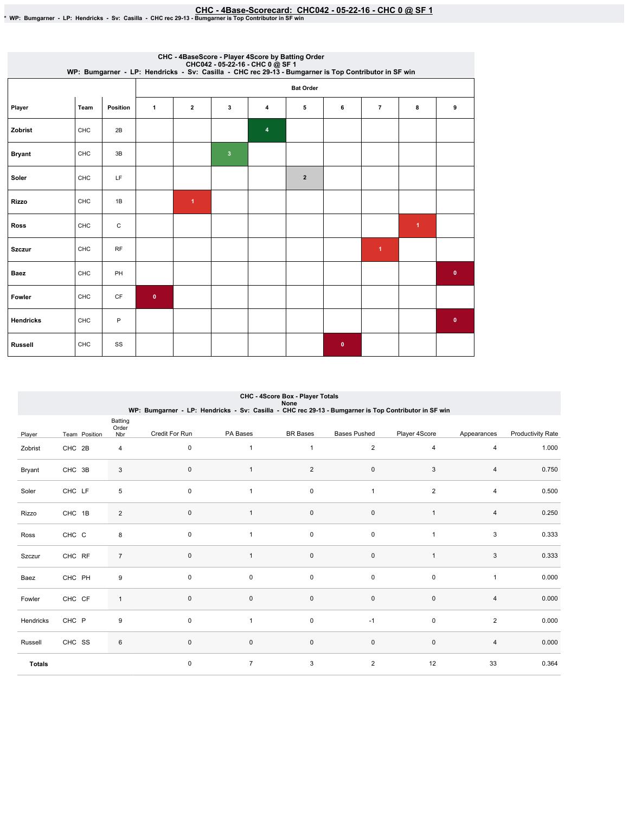EHC - 4Base-Scorecard: CHC042 - 05-22-16 - CHC 0 @ SF 1 هو CHC - 4Base-Scorecard: CHC042 - 05-22-16 - CHC 0 ي SF 1<br>\* WP: Bumgarner - LP: Hendricks - Sv: Casilla - CHC rec 29-13 - Bumgarner is Top Contributor in SF win

|                  | CHC - 4BaseScore - Player 4Score by Batting Order<br>CHC042 - 05-22-16 - CHC 0 @ SF 1<br>WP: Bumgarner - LP: Hendricks - Sv: Casilla - CHC rec 29-13 - Bumgarner is Top Contributor in SF win |             |           |                      |              |   |                |              |                      |   |           |  |  |
|------------------|-----------------------------------------------------------------------------------------------------------------------------------------------------------------------------------------------|-------------|-----------|----------------------|--------------|---|----------------|--------------|----------------------|---|-----------|--|--|
|                  |                                                                                                                                                                                               |             |           | <b>Bat Order</b>     |              |   |                |              |                      |   |           |  |  |
| Player           | Team                                                                                                                                                                                          | Position    | 1         | $\mathbf{2}$         | 3            | 4 | 5              | 6            | $\overline{7}$       | 8 | 9         |  |  |
| Zobrist          | CHC                                                                                                                                                                                           | 2B          |           |                      |              | 4 |                |              |                      |   |           |  |  |
| <b>Bryant</b>    | CHC                                                                                                                                                                                           | 3B          |           |                      | $\mathbf{3}$ |   |                |              |                      |   |           |  |  |
| Soler            | CHC                                                                                                                                                                                           | LF          |           |                      |              |   | $\overline{2}$ |              |                      |   |           |  |  |
| Rizzo            | CHC                                                                                                                                                                                           | 1B          |           | $\blacktriangleleft$ |              |   |                |              |                      |   |           |  |  |
| <b>Ross</b>      | CHC                                                                                                                                                                                           | $\mathsf C$ |           |                      |              |   |                |              |                      | 1 |           |  |  |
| <b>Szczur</b>    | CHC                                                                                                                                                                                           | <b>RF</b>   |           |                      |              |   |                |              | $\blacktriangleleft$ |   |           |  |  |
| Baez             | CHC                                                                                                                                                                                           | PH          |           |                      |              |   |                |              |                      |   | $\bullet$ |  |  |
| Fowler           | CHC                                                                                                                                                                                           | CF          | $\bullet$ |                      |              |   |                |              |                      |   |           |  |  |
| <b>Hendricks</b> | CHC                                                                                                                                                                                           | P           |           |                      |              |   |                |              |                      |   | $\bullet$ |  |  |
| <b>Russell</b>   | CHC                                                                                                                                                                                           | SS          |           |                      |              |   |                | $\mathbf{0}$ |                      |   |           |  |  |

|               | CHC - 4Score Box - Player Totals<br>None<br>WP: Bumgarner - LP: Hendricks - Sv: Casilla - CHC rec 29-13 - Bumgarner is Top Contributor in SF win |                         |                |                |                 |                     |                |                |                          |  |  |  |
|---------------|--------------------------------------------------------------------------------------------------------------------------------------------------|-------------------------|----------------|----------------|-----------------|---------------------|----------------|----------------|--------------------------|--|--|--|
| Player        | Team Position                                                                                                                                    | Batting<br>Order<br>Nbr | Credit For Run | PA Bases       | <b>BR</b> Bases | <b>Bases Pushed</b> | Player 4Score  | Appearances    | <b>Productivity Rate</b> |  |  |  |
| Zobrist       | CHC 2B                                                                                                                                           | 4                       | $\pmb{0}$      | 1              | $\mathbf{1}$    | $\overline{2}$      | $\overline{4}$ | 4              | 1.000                    |  |  |  |
| Bryant        | CHC 3B                                                                                                                                           | 3                       | 0              | $\mathbf{1}$   | $\overline{c}$  | $\pmb{0}$           | 3              | 4              | 0.750                    |  |  |  |
| Soler         | CHC LF                                                                                                                                           | 5                       | $\pmb{0}$      | $\mathbf{1}$   | 0               | $\mathbf{1}$        | $\overline{2}$ | 4              | 0.500                    |  |  |  |
| Rizzo         | CHC 1B                                                                                                                                           | 2                       | $\pmb{0}$      | $\mathbf{1}$   | $\pmb{0}$       | $\pmb{0}$           | $\overline{1}$ | $\overline{4}$ | 0.250                    |  |  |  |
| Ross          | CHC C                                                                                                                                            | 8                       | $\pmb{0}$      | $\mathbf{1}$   | $\mathsf 0$     | $\pmb{0}$           | $\overline{1}$ | 3              | 0.333                    |  |  |  |
| Szczur        | CHC RF                                                                                                                                           | $\overline{7}$          | 0              | $\mathbf{1}$   | $\mathbf 0$     | $\mathbf 0$         | 1              | 3              | 0.333                    |  |  |  |
| Baez          | CHC PH                                                                                                                                           | 9                       | $\mathbf 0$    | 0              | 0               | 0                   | $\mathbf 0$    | 1              | 0.000                    |  |  |  |
| Fowler        | CHC CF                                                                                                                                           | $\mathbf{1}$            | $\mathbf 0$    | $\mathbf 0$    | $\mathbf 0$     | $\pmb{0}$           | $\mathbf 0$    | 4              | 0.000                    |  |  |  |
| Hendricks     | CHC P                                                                                                                                            | 9                       | $\mathbf 0$    |                | 0               | $-1$                | $\mathbf 0$    | $\overline{2}$ | 0.000                    |  |  |  |
| Russell       | CHC SS                                                                                                                                           | 6                       | $\pmb{0}$      | 0              | $\mathsf 0$     | $\mathsf 0$         | $\pmb{0}$      | 4              | 0.000                    |  |  |  |
| <b>Totals</b> |                                                                                                                                                  |                         | $\mathbf 0$    | $\overline{7}$ | 3               | $\overline{2}$      | 12             | 33             | 0.364                    |  |  |  |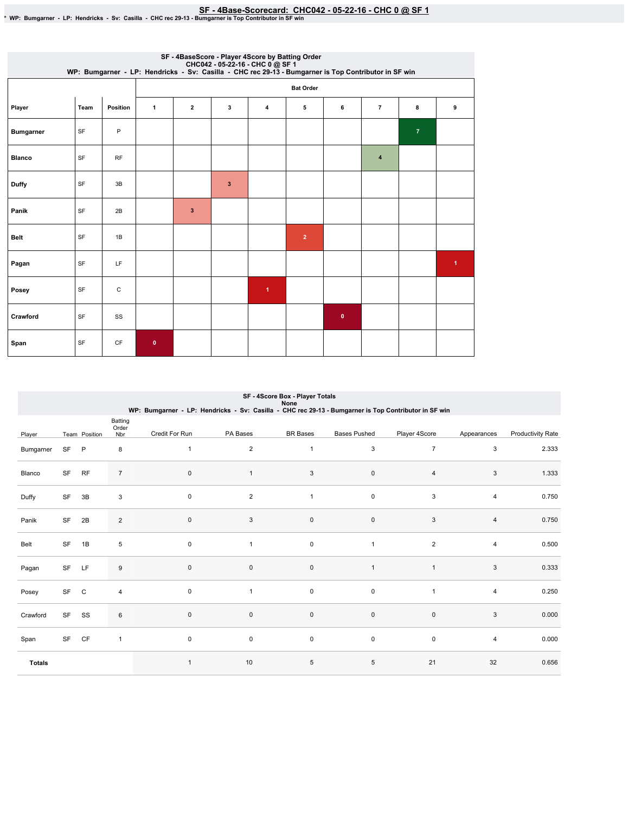SF - 4Base-Scorecard: CHC042 - 05-22-16 - CHC 0 @ SF 1 & \* wP: Bumgarner is Top Contributor in SF win

|                  | SF - 4BaseScore - Player 4Score by Batting Order<br>CHC042 - 05-22-16 - CHC 0 @ SF 1<br>WP: Bumgarner - LP: Hendricks - Sv: Casilla - CHC rec 29-13 - Bumgarner is Top Contributor in SF win |           |             |                  |   |   |                |           |                         |                |                      |  |  |  |
|------------------|----------------------------------------------------------------------------------------------------------------------------------------------------------------------------------------------|-----------|-------------|------------------|---|---|----------------|-----------|-------------------------|----------------|----------------------|--|--|--|
|                  |                                                                                                                                                                                              |           |             | <b>Bat Order</b> |   |   |                |           |                         |                |                      |  |  |  |
| Player           | Team                                                                                                                                                                                         | Position  | 1           | $\mathbf{2}$     | 3 | 4 | 5              | 6         | $\overline{7}$          | 8              | 9                    |  |  |  |
| <b>Bumgarner</b> | SF                                                                                                                                                                                           | P         |             |                  |   |   |                |           |                         | $\overline{7}$ |                      |  |  |  |
| <b>Blanco</b>    | SF                                                                                                                                                                                           | <b>RF</b> |             |                  |   |   |                |           | $\overline{\mathbf{4}}$ |                |                      |  |  |  |
| <b>Duffy</b>     | SF                                                                                                                                                                                           | 3B        |             |                  | 3 |   |                |           |                         |                |                      |  |  |  |
| Panik            | SF                                                                                                                                                                                           | 2B        |             | $\mathbf{3}$     |   |   |                |           |                         |                |                      |  |  |  |
| <b>Belt</b>      | SF                                                                                                                                                                                           | 1B        |             |                  |   |   | $\overline{2}$ |           |                         |                |                      |  |  |  |
| Pagan            | SF                                                                                                                                                                                           | LF        |             |                  |   |   |                |           |                         |                | $\blacktriangleleft$ |  |  |  |
| Posey            | SF                                                                                                                                                                                           | С         |             |                  |   | 1 |                |           |                         |                |                      |  |  |  |
| Crawford         | SF                                                                                                                                                                                           | SS        |             |                  |   |   |                | $\bullet$ |                         |                |                      |  |  |  |
| Span             | SF                                                                                                                                                                                           | CF        | $\mathbf 0$ |                  |   |   |                |           |                         |                |                      |  |  |  |

|               | SF - 4Score Box - Player Totals<br>None<br>WP: Bumgarner - LP: Hendricks - Sv: Casilla - CHC rec 29-13 - Bumgarner is Top Contributor in SF win |               |                  |                |                |                 |                     |                |             |                   |  |  |
|---------------|-------------------------------------------------------------------------------------------------------------------------------------------------|---------------|------------------|----------------|----------------|-----------------|---------------------|----------------|-------------|-------------------|--|--|
|               |                                                                                                                                                 |               | Batting<br>Order |                |                |                 |                     |                |             |                   |  |  |
| Player        |                                                                                                                                                 | Team Position | Nbr              | Credit For Run | PA Bases       | <b>BR</b> Bases | <b>Bases Pushed</b> | Player 4Score  | Appearances | Productivity Rate |  |  |
| Bumgarner     | <b>SF</b>                                                                                                                                       | P             | 8                | $\mathbf{1}$   | $\overline{2}$ | $\mathbf{1}$    | 3                   | $\overline{7}$ | 3           | 2.333             |  |  |
| Blanco        | <b>SF</b>                                                                                                                                       | <b>RF</b>     | $\overline{7}$   | $\mathbf{0}$   | $\mathbf{1}$   | $\sqrt{3}$      | $\mathsf{O}\xspace$ | $\overline{4}$ | 3           | 1.333             |  |  |
| Duffy         | SF                                                                                                                                              | 3B            | 3                | 0              | $\overline{2}$ | $\mathbf{1}$    | 0                   | 3              | 4           | 0.750             |  |  |
| Panik         | SF                                                                                                                                              | 2B            | $\overline{2}$   | $\pmb{0}$      | 3              | $\pmb{0}$       | $\mathsf{O}\xspace$ | 3              | 4           | 0.750             |  |  |
| Belt          | SF                                                                                                                                              | 1B            | 5                | $\mathbf 0$    | $\mathbf{1}$   | $\pmb{0}$       | $\mathbf{1}$        | $\overline{2}$ | 4           | 0.500             |  |  |
| Pagan         | <b>SF</b>                                                                                                                                       | LF            | 9                | $\mathbf 0$    | $\mathbf 0$    | $\pmb{0}$       | $\overline{1}$      | $\overline{1}$ | 3           | 0.333             |  |  |
| Posey         | <b>SF</b>                                                                                                                                       | $\mathsf{C}$  | $\overline{4}$   | $\mathbf 0$    | $\mathbf{1}$   | 0               | $\mathsf 0$         | $\overline{1}$ | 4           | 0.250             |  |  |
| Crawford      | SF                                                                                                                                              | SS            | 6                | $\mathsf 0$    | 0              | $\pmb{0}$       | $\mathsf{O}\xspace$ | $\mathsf 0$    | 3           | 0.000             |  |  |
| Span          | SF                                                                                                                                              | CF            | $\mathbf{1}$     | $\mathsf 0$    | 0              | $\pmb{0}$       | $\mathsf 0$         | $\mathbf 0$    | 4           | 0.000             |  |  |
| <b>Totals</b> |                                                                                                                                                 |               |                  | $\overline{1}$ | 10             | 5               | $\,$ 5 $\,$         | 21             | 32          | 0.656             |  |  |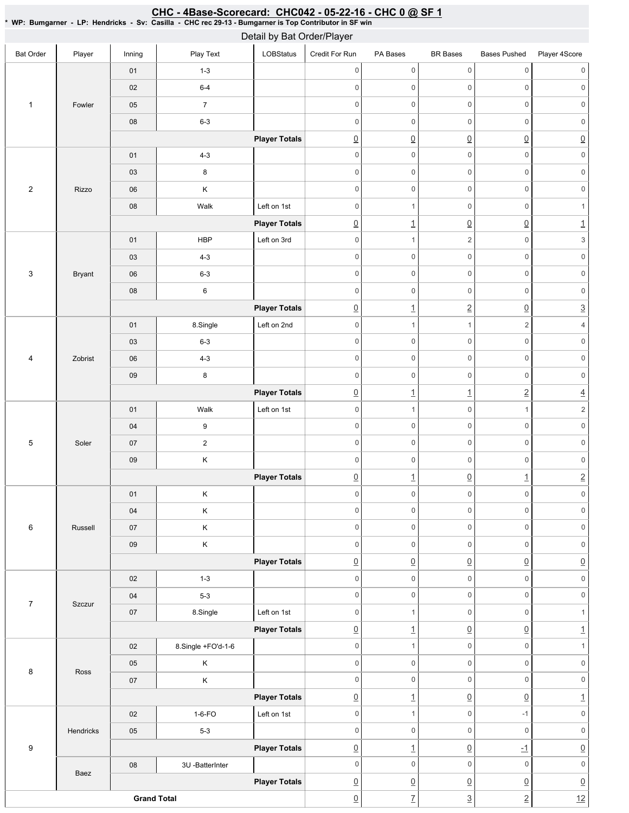### Bat Order | Player | Inning | PlayText | LOBStatus Credit For Run PA Bases BR Bases Bases Pushed Player 4Score 1 Fowler 01 1-3 02 6-4 05 7 08 6-3 **Player Totals** 2 Rizzo 01 4-3 03 8 06 K 08 | Walk Left on 1st **Player Totals** 3 Bryant 01 | HBP | Left on 3rd 03 4-3 06 6-3 08 6 **Player Totals** 4 Zobrist 01 | 8.Single | Left on 2nd 03 6-3 06 4-3 09 8 **Player Totals** 5 Soler 01 | Walk Left on 1st 04 9 07 2 09 K **Player Totals** 6 Russell 01 K 04 K 07 K 09 K **Player Totals** 7 Szczur 02 1-3 04 5-3 07 | 8.Single | Left on 1st **Player Totals** 8 Ross 02 8.Single +FO'd-1-6 05 K 07 K **Player Totals** 9 Hendricks 02 | 1-6-FO | Left on 1st 05 5-3 **Player Totals** Baez 08 3U -BatterInter **Player Totals** 0 0 0 0 0 0 0 0 0 0 0 0 0 0 0 0 0 0 0 0 0 0 0 0  $\overline{0}$   $\overline{0}$   $\overline{0}$   $\overline{0}$   $\overline{0}$   $\overline{0}$   $\overline{0}$ 0 0 0 0 0 0 0 0 0 0 0 0 0 0 0 0 0 0 0 0 0 1  $\boxed{0}$  1  $\boxed{0}$   $\boxed{0}$  1 0 1 2 0 3 0 0 0 0 0 0 0 0 0 0 0 0 0 0 0 0 0 0  $\boxed{0}$  1  $\boxed{2}$   $\boxed{0}$   $\boxed{3}$ 0 1 1 2 4 0 0 0 0 0 0 0 0 0 0 0 0 0 0 0 0 0 0 0 1 1 2 4 0 1 0 1 2 0 0 0 0 0 0 0 0 0 0 0 0 0 0 0 0 0 0  $\boxed{0}$  1  $\boxed{0}$  1 2 0 0 0 0 0 0 0 0 0 0 0 0 0 0 0 0 0 0 0 0 0 0 0 0 0 0 0 0 0 0 0 0 0 0 0 0 0 0 0 0 0 0 0 0 1  $\Omega$  1 0 0  $\Omega$  1 0 0 1 0 1 0 0 0 0 0 0 0 0 0 0 0 0  $\boxed{0}$  1  $\boxed{0}$   $\boxed{0}$  1 0 1 0 -1 0 0 0 0 0 0 0 <u>0 | 1 0 -1 0 </u> 0 0 0 0 0 0  $\overline{0}$   $\overline{0}$   $\overline{0}$   $\overline{0}$   $\overline{0}$   $\overline{0}$   $\overline{0}$ Detail by Bat Order/Player

 $\boxed{0}$  7  $\boxed{3}$  2 12

**Grand Total** 

## CHC - 4Base-Scorecard: CHC042 - 05-22-16 - CHC 0 @ SF 1

\* WP: Bumgarner-LP: Hendricks- Sv: Casilla- CHC rec 29-13 - Bumgarner is Top Contributor in SF win